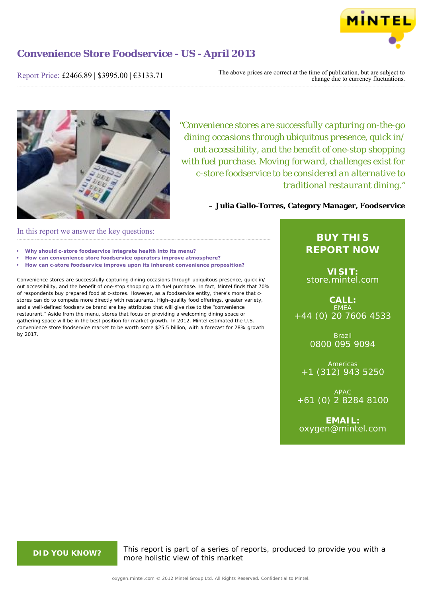

Report Price: £2466.89 | \$3995.00 | €3133.71

The above prices are correct at the time of publication, but are subject to change due to currency fluctuations.



*"Convenience stores are successfully capturing on-the-go dining occasions through ubiquitous presence, quick in/ out accessibility, and the benefit of one-stop shopping with fuel purchase. Moving forward, challenges exist for c-store foodservice to be considered an alternative to traditional restaurant dining."*

**– Julia Gallo-Torres, Category Manager, Foodservice**

# In this report we answer the key questions:

- **• Why should c-store foodservice integrate health into its menu?**
- **• How can convenience store foodservice operators improve atmosphere?**
- **• How can c-store foodservice improve upon its inherent convenience proposition?**

Convenience stores are successfully capturing dining occasions through ubiquitous presence, quick in/ out accessibility, and the benefit of one-stop shopping with fuel purchase. In fact, Mintel finds that 70% of respondents buy prepared food at c-stores. However, as a foodservice entity, there's more that cstores can do to compete more directly with restaurants. High-quality food offerings, greater variety, and a well-defined foodservice brand are key attributes that will give rise to the "convenience restaurant." Aside from the menu, stores that focus on providing a welcoming dining space or gathering space will be in the best position for market growth. In 2012, Mintel estimated the U.S. convenience store foodservice market to be worth some \$25.5 billion, with a forecast for 28% growth by 2017.

# **BUY THIS REPORT NOW**

**VISIT:** [store.mintel.com](http://oxygen.mintel.com//display/store/637632/)

**CALL:** EMEA +44 (0) 20 7606 4533

> Brazil 0800 095 9094

**Americas** +1 (312) 943 5250

APAC +61 (0) 2 8284 8100

**EMAIL:** [oxygen@mintel.com](mailto:oxygen@mintel.com)

**DID YOU KNOW?** This report is part of a series of reports, produced to provide you with a more holistic view of this market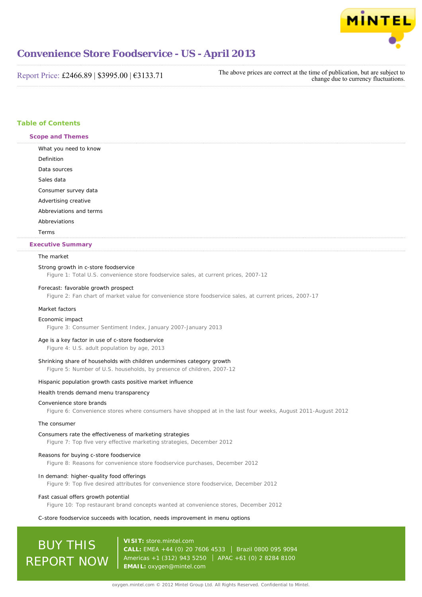

Report Price: £2466.89 | \$3995.00 | €3133.71

The above prices are correct at the time of publication, but are subject to change due to currency fluctuations.

# **Table of Contents**

**Scope and Themes**

What you need to know Definition Data sources Sales data Consumer survey data Advertising creative Abbreviations and terms Abbreviations Terms **Executive Summary**

# The market

# Strong growth in c-store foodservice

Figure 1: Total U.S. convenience store foodservice sales, at current prices, 2007-12

# Forecast: favorable growth prospect

Figure 2: Fan chart of market value for convenience store foodservice sales, at current prices, 2007-17

# Market factors

#### Economic impact

Figure 3: Consumer Sentiment Index, January 2007-January 2013

# Age is a key factor in use of c-store foodservice

Figure 4: U.S. adult population by age, 2013

# Shrinking share of households with children undermines category growth

Figure 5: Number of U.S. households, by presence of children, 2007-12

# Hispanic population growth casts positive market influence

# Health trends demand menu transparency

# Convenience store brands

Figure 6: Convenience stores where consumers have shopped at in the last four weeks, August 2011-August 2012

# The consumer

#### Consumers rate the effectiveness of marketing strategies

Figure 7: Top five very effective marketing strategies, December 2012

# Reasons for buying c-store foodservice

Figure 8: Reasons for convenience store foodservice purchases, December 2012

# In demand: higher-quality food offerings

Figure 9: Top five desired attributes for convenience store foodservice, December 2012

# Fast casual offers growth potential

Figure 10: Top restaurant brand concepts wanted at convenience stores, December 2012

# C-store foodservice succeeds with location, needs improvement in menu options

# BUY THIS REPORT NOW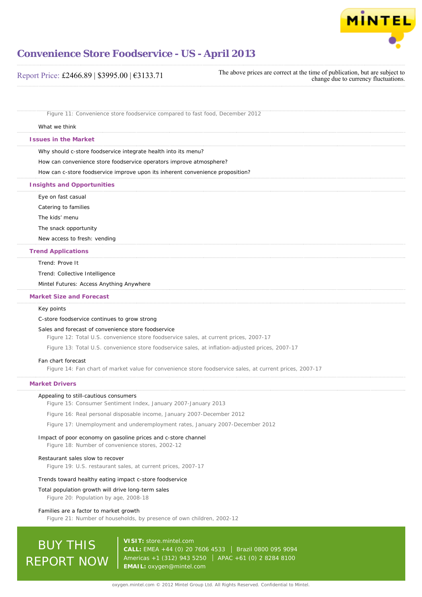

| Report Price: £2466.89   \$3995.00   $€3133.71$ | The above prices are correct at the time of publication, but are subject to<br>change due to currency fluctuations. |
|-------------------------------------------------|---------------------------------------------------------------------------------------------------------------------|
|-------------------------------------------------|---------------------------------------------------------------------------------------------------------------------|

Figure 11: Convenience store foodservice compared to fast food, December 2012

# What we think

**Issues in the Market**

Why should c-store foodservice integrate health into its menu?

How can convenience store foodservice operators improve atmosphere?

How can c-store foodservice improve upon its inherent convenience proposition?

# **Insights and Opportunities**

Eye on fast casual

Catering to families

The kids' menu

The snack opportunity

New access to fresh: vending

# **Trend Applications**

# Trend: Prove It

Trend: Collective Intelligence

Mintel Futures: Access Anything Anywhere

# **Market Size and Forecast**

# Key points

# C-store foodservice continues to grow strong

# Sales and forecast of convenience store foodservice

Figure 12: Total U.S. convenience store foodservice sales, at current prices, 2007-17

Figure 13: Total U.S. convenience store foodservice sales, at inflation-adjusted prices, 2007-17

# Fan chart forecast

Figure 14: Fan chart of market value for convenience store foodservice sales, at current prices, 2007-17

# **Market Drivers**

# Appealing to still-cautious consumers

Figure 15: Consumer Sentiment Index, January 2007-January 2013

Figure 16: Real personal disposable income, January 2007-December 2012

Figure 17: Unemployment and underemployment rates, January 2007-December 2012

# Impact of poor economy on gasoline prices and c-store channel

Figure 18: Number of convenience stores, 2002-12

#### Restaurant sales slow to recover

Figure 19: U.S. restaurant sales, at current prices, 2007-17

# Trends toward healthy eating impact c-store foodservice

Total population growth will drive long-term sales

Figure 20: Population by age, 2008-18

# Families are a factor to market growth

Figure 21: Number of households, by presence of own children, 2002-12

# BUY THIS REPORT NOW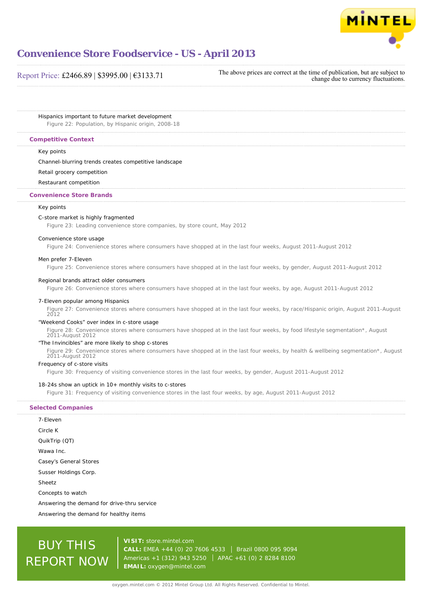

# Report Price: £2466.89 | \$3995.00 | €3133.71

The above prices are correct at the time of publication, but are subject to change due to currency fluctuations.

Hispanics important to future market development Figure 22: Population, by Hispanic origin, 2008-18

# **Competitive Context**

# Key points

# Channel-blurring trends creates competitive landscape

# Retail grocery competition

# Restaurant competition

# **Convenience Store Brands**

# Key points

# C-store market is highly fragmented

Figure 23: Leading convenience store companies, by store count, May 2012

#### Convenience store usage

Figure 24: Convenience stores where consumers have shopped at in the last four weeks, August 2011-August 2012

#### Men prefer 7-Eleven

Figure 25: Convenience stores where consumers have shopped at in the last four weeks, by gender, August 2011-August 2012

### Regional brands attract older consumers

Figure 26: Convenience stores where consumers have shopped at in the last four weeks, by age, August 2011-August 2012

#### 7-Eleven popular among Hispanics

Figure 27: Convenience stores where consumers have shopped at in the last four weeks, by race/Hispanic origin, August 2011-August 2012

# "Weekend Cooks" over index in c-store usage

Figure 28: Convenience stores where consumers have shopped at in the last four weeks, by food lifestyle segmentation\*, August 2011-August 2012

# "The Invincibles" are more likely to shop c-stores

Figure 29: Convenience stores where consumers have shopped at in the last four weeks, by health & wellbeing segmentation\*, August 2011-August 2012

# Frequency of c-store visits

Figure 30: Frequency of visiting convenience stores in the last four weeks, by gender, August 2011-August 2012

# 18-24s show an uptick in 10+ monthly visits to c-stores

Figure 31: Frequency of visiting convenience stores in the last four weeks, by age, August 2011-August 2012

# **Selected Companies**

| 7-Fleven                            |
|-------------------------------------|
| Circle K                            |
| QuikTrip (QT)                       |
| Wawa Inc.                           |
| Casey's General Stores              |
| Susser Holdings Corp.               |
| Sheetz                              |
| Concepts to watch                   |
| Answering the demand for drive-thru |
|                                     |

Answering the demand for healthy items

service

# BUY THIS REPORT NOW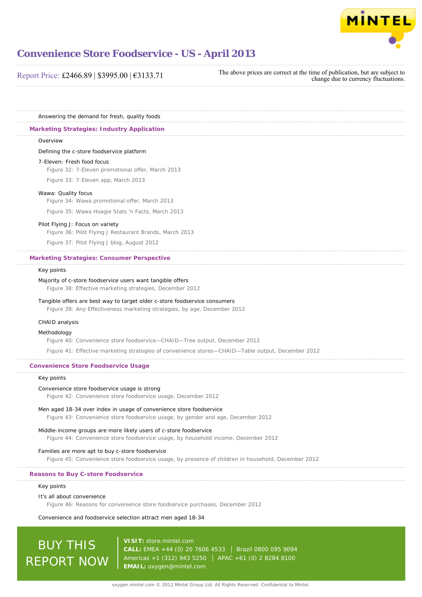

| Report Price: £2466.89   \$3995.00   $\epsilon$ 3133.71 | The above prices are correct at the time of publication, but are subject to<br>change due to currency fluctuations. |
|---------------------------------------------------------|---------------------------------------------------------------------------------------------------------------------|
|---------------------------------------------------------|---------------------------------------------------------------------------------------------------------------------|

Answering the demand for fresh, quality foods

# **Marketing Strategies: Industry Application**

#### Overview

Defining the c-store foodservice platform

#### 7-Eleven: Fresh food focus

Figure 32: 7-Eleven promotional offer, March 2013

Figure 33: 7-Eleven app, March 2013

# Wawa: Quality focus

Figure 34: Wawa promotional offer, March 2013 Figure 35: Wawa Hoagie Stats 'n Facts, March 2013

# Pilot Flying J: Focus on variety

Figure 36: Pilot Flying J Restaurant Brands, March 2013

Figure 37: Pilot Flying J blog, August 2012

# **Marketing Strategies: Consumer Perspective**

# Key points

# Majority of c-store foodservice users want tangible offers

Figure 38: Effective marketing strategies, December 2012

# Tangible offers are best way to target older c-store foodservice consumers

Figure 39: Any Effectiveness marketing strategies, by age, December 2012

# CHAID analysis

# Methodology

Figure 40: Convenience store foodservice—CHAID—Tree output, December 2012

Figure 41: Effective marketing strategies of convenience stores—CHAID—Table output, December 2012

# **Convenience Store Foodservice Usage**

# Key points

# Convenience store foodservice usage is strong

Figure 42: Convenience store foodservice usage, December 2012

# Men aged 18-34 over index in usage of convenience store foodservice

Figure 43: Convenience store foodservice usage, by gender and age, December 2012

# Middle-income groups are more likely users of c-store foodservice

Figure 44: Convenience store foodservice usage, by household income, December 2012

### Families are more apt to buy c-store foodservice

Figure 45: Convenience store foodservice usage, by presence of children in household, December 2012

# **Reasons to Buy C-store Foodservice**

# Key points

#### It's all about convenience

Figure 46: Reasons for convenience store foodservice purchases, December 2012

Convenience and foodservice selection attract men aged 18-34

# BUY THIS REPORT NOW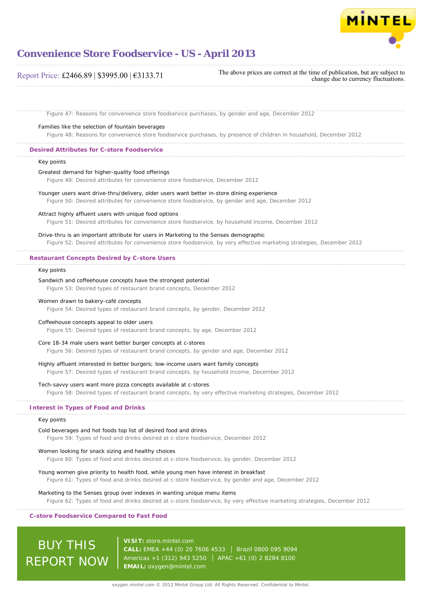

# Report Price: £2466.89 | \$3995.00 | €3133.71

The above prices are correct at the time of publication, but are subject to change due to currency fluctuations.

Figure 47: Reasons for convenience store foodservice purchases, by gender and age, December 2012

# Families like the selection of fountain beverages

Figure 48: Reasons for convenience store foodservice purchases, by presence of children in household, December 2012

# **Desired Attributes for C-store Foodservice**

# Key points

#### Greatest demand for higher-quality food offerings

Figure 49: Desired attributes for convenience store foodservice, December 2012

# Younger users want drive-thru/delivery, older users want better in-store dining experience

Figure 50: Desired attributes for convenience store foodservice, by gender and age, December 2012

#### Attract highly affluent users with unique food options

Figure 51: Desired attributes for convenience store foodservice, by household income, December 2012

# Drive-thru is an important attribute for users in Marketing to the Senses demographic

Figure 52: Desired attributes for convenience store foodservice, by very effective marketing strategies, December 2012

#### **Restaurant Concepts Desired by C-store Users**

### Key points

#### Sandwich and coffeehouse concepts have the strongest potential

Figure 53: Desired types of restaurant brand concepts, December 2012

# Women drawn to bakery-café concepts

Figure 54: Desired types of restaurant brand concepts, by gender, December 2012

# Coffeehouse concepts appeal to older users

Figure 55: Desired types of restaurant brand concepts, by age, December 2012

# Core 18-34 male users want better burger concepts at c-stores

Figure 56: Desired types of restaurant brand concepts, by gender and age, December 2012

# Highly affluent interested in better burgers; low-income users want family concepts

Figure 57: Desired types of restaurant brand concepts, by household income, December 2012

# Tech-savvy users want more pizza concepts available at c-stores

Figure 58: Desired types of restaurant brand concepts, by very effective marketing strategies, December 2012

# **Interest in Types of Food and Drinks**

#### Key points

# Cold beverages and hot foods top list of desired food and drinks

Figure 59: Types of food and drinks desired at c-store foodservice, December 2012

#### Women looking for snack sizing and healthy choices

Figure 60: Types of food and drinks desired at c-store foodservice, by gender, December 2012

## Young women give priority to health food, while young men have interest in breakfast

Figure 61: Types of food and drinks desired at c-store foodservice, by gender and age, December 2012

# Marketing to the Senses group over indexes in wanting unique menu items

Figure 62: Types of food and drinks desired at c-store foodservice, by very effective marketing strategies, December 2012

# **C-store Foodservice Compared to Fast Food**

BUY THIS REPORT NOW